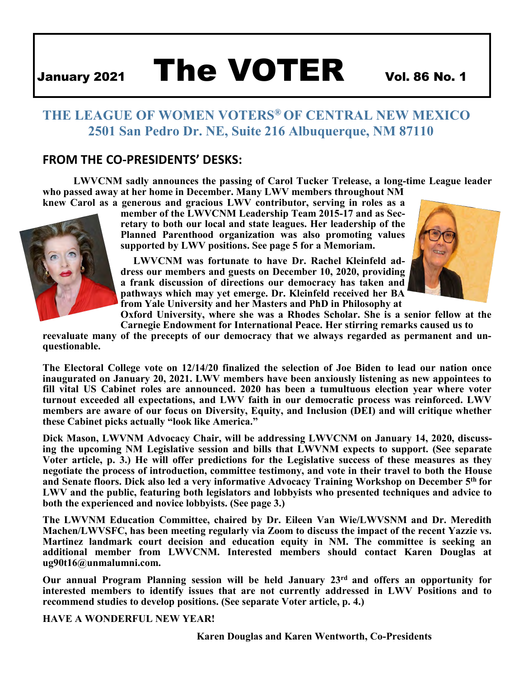# January 2021 The VOTER Vol. 86 No. 1

# **THE LEAGUE OF WOMEN VOTERS® OF CENTRAL NEW MEXICO 2501 San Pedro Dr. NE, Suite 216 Albuquerque, NM 87110**

## **FROM THE CO-PRESIDENTS' DESKS:**

**LWVCNM sadly announces the passing of Carol Tucker Trelease, a long-time League leader who passed away at her home in December. Many LWV members throughout NM knew Carol as a generous and gracious LWV contributor, serving in roles as a** 



**member of the LWVCNM Leadership Team 2015-17 and as Secretary to both our local and state leagues. Her leadership of the Planned Parenthood organization was also promoting values supported by LWV positions. See page 5 for a Memoriam.** 

**LWVCNM was fortunate to have Dr. Rachel Kleinfeld address our members and guests on December 10, 2020, providing a frank discussion of directions our democracy has taken and pathways which may yet emerge. Dr. Kleinfeld received her BA from Yale University and her Masters and PhD in Philosophy at** 



**Oxford University, where she was a Rhodes Scholar. She is a senior fellow at the Carnegie Endowment for International Peace. Her stirring remarks caused us to**

**reevaluate many of the precepts of our democracy that we always regarded as permanent and unquestionable.**

**The Electoral College vote on 12/14/20 finalized the selection of Joe Biden to lead our nation once inaugurated on January 20, 2021. LWV members have been anxiously listening as new appointees to fill vital US Cabinet roles are announced. 2020 has been a tumultuous election year where voter turnout exceeded all expectations, and LWV faith in our democratic process was reinforced. LWV members are aware of our focus on Diversity, Equity, and Inclusion (DEI) and will critique whether these Cabinet picks actually "look like America."**

**Dick Mason, LWVNM Advocacy Chair, will be addressing LWVCNM on January 14, 2020, discussing the upcoming NM Legislative session and bills that LWVNM expects to support. (See separate Voter article, p. 3.) He will offer predictions for the Legislative success of these measures as they negotiate the process of introduction, committee testimony, and vote in their travel to both the House and Senate floors. Dick also led a very informative Advocacy Training Workshop on December 5th for LWV and the public, featuring both legislators and lobbyists who presented techniques and advice to both the experienced and novice lobbyists. (See page 3.)** 

**The LWVNM Education Committee, chaired by Dr. Eileen Van Wie/LWVSNM and Dr. Meredith Machen/LWVSFC, has been meeting regularly via Zoom to discuss the impact of the recent Yazzie vs. Martinez landmark court decision and education equity in NM. The committee is seeking an additional member from LWVCNM. Interested members should contact Karen Douglas a[t](mailto:ug90t16@unmalumni.com) [ug90t16@unmalumni.com.](mailto:ug90t16@unmalumni.com)**

**Our annual Program Planning session will be held January 23rd and offers an opportunity for interested members to identify issues that are not currently addressed in LWV Positions and to recommend studies to develop positions. (See separate Voter article, p. 4.)** 

**HAVE A WONDERFUL NEW YEAR!**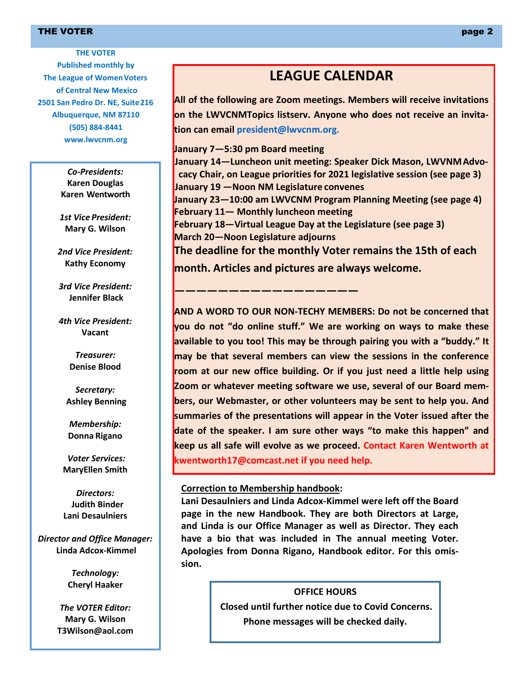#### THE VOTER  $\qquad$  , we have a set of the set of the set of the set of the set of the set of the set of the set of the set of the set of the set of the set of the set of the set of the set of the set of the set of the set of

**THE VOTER Published monthly by The League of Women Voters of Central New Mexico 2501 San Pedro Dr. NE, Suite216 Albuquerque, NM 87110 (505) 884-8441 [www.lwvcnm.org](http://www.lwvcnm.org/)**

> *Co-Presidents:*  **Karen Douglas Karen Wentworth**

*1st Vice President:* **Mary G. Wilson**

*2nd Vice President:* **Kathy Economy**

*3rd Vice President:* **Jennifer Black**

*4th Vice President:* **Vacant**

> *Treasurer:* **Denise Blood**

*Secretary:* **Ashley Benning**

*Membership:* **Donna Rigano**

*Voter Services:* **MaryEllen Smith**

*Directors:* **Judith Binder Lani Desaulniers**

*Director and Office Manager:* **Linda Adcox-Kimmel**

> *Technology:* **Cheryl Haaker**

*The VOTER Editor:*  **Mary G. Wilso[n](mailto:T3Wilson@aol.com) [T3Wilson@aol.com](mailto:T3Wilson@aol.com)**

# **LEAGUE CALENDAR**

**All of the following are Zoom meetings. Members will receive invitations on the LWVCNMTopics listserv. Anyone who does not receive an invitation can email [president@lwvcnm.org.](mailto:president@lwvcnm.org)**

**January 7—5:30 pm Board meeting January 14—Luncheon unit meeting: Speaker Dick Mason, LWVNMAdvocacy Chair, on League priorities for 2021 legislative session (see page 3) January 19 —Noon NM Legislature convenes January 23—10:00 am LWVCNM Program Planning Meeting (see page 4) February 11— Monthly luncheon meeting February 18—Virtual League Day at the Legislature (see page 3) March 20—Noon Legislature adjourns The deadline for the monthly Voter remains the 15th of each month. Articles and pictures are always welcome.**

**AND A WORD TO OUR NON-TECHY MEMBERS: Do not be concerned that you do not "do online stuff." We are working on ways to make these available to you too! This may be through pairing you with a "buddy." It may be that several members can view the sessions in the conference room at our new office building. Or if you just need a little help using Zoom or whatever meeting software we use, several of our Board members, our Webmaster, or other volunteers may be sent to help you. And summaries of the presentations will appear in the Voter issued after the date of the speaker. I am sure other ways "to make this happen" and keep us all safe will evolve as we proceed. Contact Karen Wentworth a[t](mailto:kwentworth17@comcast.net) [kwentworth17@comcast.net if](mailto:kwentworth17@comcast.net) you need help.**

#### **Correction to Membership handbook:**

**—————————————————**

**Lani Desaulniers and Linda Adcox-Kimmel were left off the Board page in the new Handbook. They are both Directors at Large, and Linda is our Office Manager as well as Director. They each have a bio that was included in The annual meeting Voter. Apologies from Donna Rigano, Handbook editor. For this omission.**

> **OFFICE HOURS Closed until further notice due to Covid Concerns. Phone messages will be checked daily.**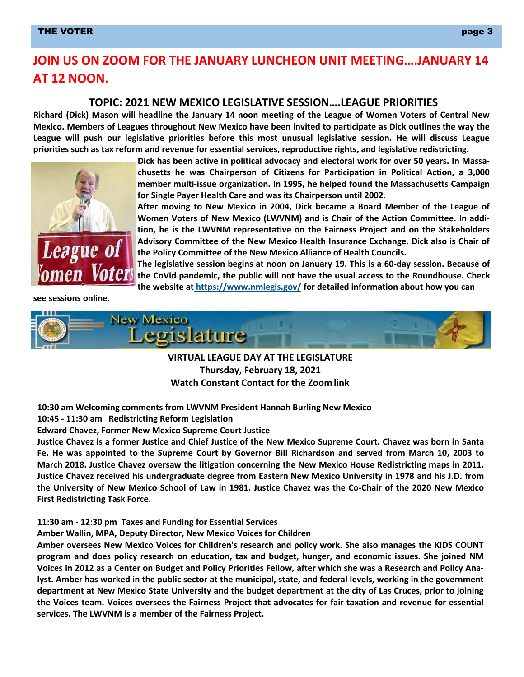#### THE VOTER  $\qquad$  , we have seen as a set of the set of the set of the set of the set of the set of the set of the set of the set of the set of the set of the set of the set of the set of the set of the set of the set of th

# **JOIN US ON ZOOM FOR THE JANUARY LUNCHEON UNIT MEETING….JANUARY 14 AT 12 NOON.**

#### **TOPIC: 2021 NEW MEXICO LEGISLATIVE SESSION….LEAGUE PRIORITIES**

**Richard (Dick) Mason will headline the January 14 noon meeting of the League of Women Voters of Central New Mexico. Members of Leagues throughout New Mexico have been invited to participate as Dick outlines the way the League will push our legislative priorities before this most unusual legislative session. He will discuss League priorities such as tax reform and revenue for essential services, reproductive rights, and legislative redistricting.**



**Dick has been active in political advocacy and electoral work for over 50 years. In Massachusetts he was Chairperson of Citizens for Participation in Political Action, a 3,000 member multi-issue organization. In 1995, he helped found the Massachusetts Campaign for Single Payer Health Care and was its Chairperson until 2002.**

**After moving to New Mexico in 2004, Dick became a Board Member of the League of Women Voters of New Mexico (LWVNM) and is Chair of the Action Committee. In addition, he is the LWVNM representative on the Fairness Project and on the Stakeholders Advisory Committee of the New Mexico Health Insurance Exchange. Dick also is Chair of the Policy Committee of the New Mexico Alliance of Health Councils.**

**The legislative session begins at noon on January 19. This is a 60-day session. Because of the CoVid pandemic, the public will not have the usual access to the Roundhouse. Check the website at <https://www.nmlegis.gov/> for detailed information about how you can**

**see sessions online.**



**VIRTUAL LEAGUE DAY AT THE LEGISLATURE Thursday, February 18, 2021 Watch Constant Contact for the Zoom link**

**10:30 am Welcoming comments from LWVNM President Hannah Burling New Mexico** 

**10:45 - 11:30 am Redistricting Reform Legislation**

**Edward Chavez, Former New Mexico Supreme Court Justice**

**Justice Chavez is a former Justice and Chief Justice of the New Mexico Supreme Court. Chavez was born in Santa Fe. He was appointed to the Supreme Court by Governor Bill Richardson and served from March 10, 2003 to March 2018. Justice Chavez oversaw the litigation concerning the New Mexico House Redistricting maps in 2011. Justice Chavez received his undergraduate degree from Eastern New Mexico University in 1978 and his J.D. from the University of New Mexico School of Law in 1981. Justice Chavez was the Co-Chair of the 2020 New Mexico First Redistricting Task Force.**

#### **11:30 am - 12:30 pm Taxes and Funding for Essential Services**

**Amber Wallin, MPA, Deputy Director, New Mexico Voices for Children**

**Amber oversees New Mexico Voices for Children's research and policy work. She also manages the KIDS COUNT program and does policy research on education, tax and budget, hunger, and economic issues. She joined NM Voices in 2012 as a Center on Budget and Policy Priorities Fellow, after which she was a Research and Policy Analyst. Amber has worked in the public sector at the municipal, state, and federal levels, working in the government department at New Mexico State University and the budget department at the city of Las Cruces, prior to joining the Voices team. Voices oversees the Fairness Project that advocates for fair taxation and revenue for essential services. The LWVNM is a member of the Fairness Project.**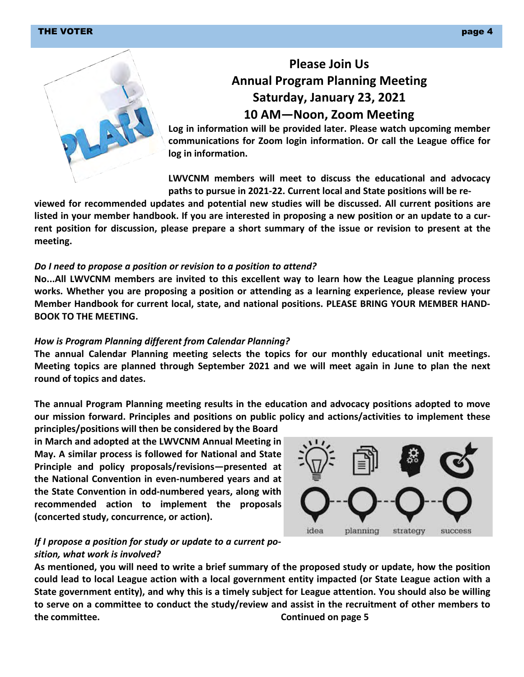#### THE VOTER  $\qquad$  page 4  $\qquad$





# **Please Join Us Annual Program Planning Meeting Saturday, January 23, 2021 10 AM—Noon, Zoom Meeting**

**Log in information will be provided later. Please watch upcoming member communications for Zoom login information. Or call the League office for log in information.**

**LWVCNM members will meet to discuss the educational and advocacy paths to pursue in 2021-22. Current local and State positions will be re-**

**viewed for recommended updates and potential new studies will be discussed. All current positions are listed in your member handbook. If you are interested in proposing a new position or an update to a current position for discussion, please prepare a short summary of the issue or revision to present at the meeting.**

#### *Do I need to propose a position or revision to a position to attend?*

**No...All LWVCNM members are invited to this excellent way to learn how the League planning process works. Whether you are proposing a position or attending as a learning experience, please review your Member Handbook for current local, state, and national positions. PLEASE BRING YOUR MEMBER HAND-BOOK TO THE MEETING.**

#### *How is Program Planning different from Calendar Planning?*

**The annual Calendar Planning meeting selects the topics for our monthly educational unit meetings. Meeting topics are planned through September 2021 and we will meet again in June to plan the next round of topics and dates.**

**The annual Program Planning meeting results in the education and advocacy positions adopted to move our mission forward. Principles and positions on public policy and actions/activities to implement these** 

**principles/positions will then be considered by the Board in March and adopted at the LWVCNM Annual Meeting in May. A similar process is followed for National and State Principle and policy proposals/revisions—presented at the National Convention in even-numbered years and at the State Convention in odd-numbered years, along with recommended action to implement the proposals (concerted study, concurrence, or action).**



#### *If I propose a position for study or update to a current position, what work is involved?*

**As mentioned, you will need to write a brief summary of the proposed study or update, how the position could lead to local League action with a local government entity impacted (or State League action with a State government entity), and why this is a timely subject for League attention. You should also be willing to serve on a committee to conduct the study/review and assist in the recruitment of other members to the committee. Continued on page 5**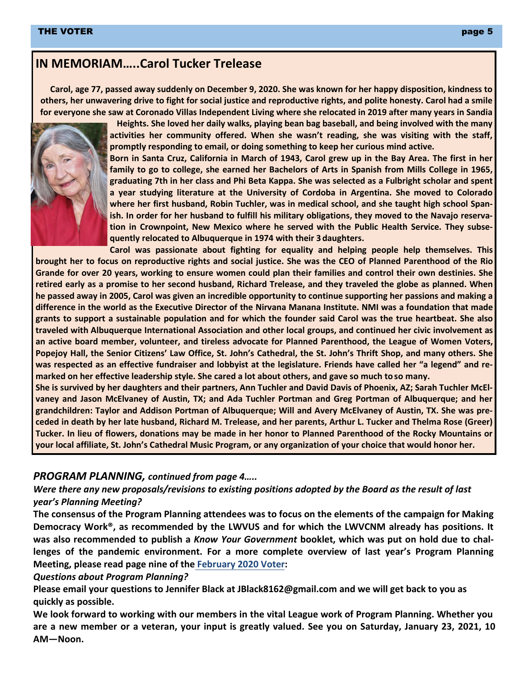# **IN MEMORIAM…..Carol Tucker Trelease**

**Carol, age 77, passed away suddenly on December 9, 2020. She was known for her happy disposition, kindness to others, her unwavering drive to fight for social justice and reproductive rights, and polite honesty. Carol had a smile for everyone she saw at Coronado Villas Independent Living where she relocated in 2019 after many years in Sandia**



**Heights. She loved her daily walks, playing bean bag baseball, and being involved with the many activities her community offered. When she wasn't reading, she was visiting with the staff, promptly responding to email, or doing something to keep her curious mind active.**

**Born in Santa Cruz, California in March of 1943, Carol grew up in the Bay Area. The first in her family to go to college, she earned her Bachelors of Arts in Spanish from Mills College in 1965, graduating 7th in her class and Phi Beta Kappa. She was selected as a Fulbright scholar and spent a year studying literature at the University of Cordoba in Argentina. She moved to Colorado where her first husband, Robin Tuchler, was in medical school, and she taught high school Spanish. In order for her husband to fulfill his military obligations, they moved to the Navajo reservation in Crownpoint, New Mexico where he served with the Public Health Service. They subsequently relocated to Albuquerque in 1974 with their 3 daughters.**

**Carol was passionate about fighting for equality and helping people help themselves. This brought her to focus on reproductive rights and social justice. She was the CEO of Planned Parenthood of the Rio Grande for over 20 years, working to ensure women could plan their families and control their own destinies. She retired early as a promise to her second husband, Richard Trelease, and they traveled the globe as planned. When he passed away in 2005, Carol was given an incredible opportunity to continue supporting her passions and making a difference in the world as the Executive Director of the Nirvana Manana Institute. NMI was a foundation that made grants to support a sustainable population and for which the founder said Carol was the true heartbeat. She also traveled with Albuquerque International Association and other local groups, and continued her civic involvement as an active board member, volunteer, and tireless advocate for Planned Parenthood, the League of Women Voters, Popejoy Hall, the Senior Citizens' Law Office, St. John's Cathedral, the St. John's Thrift Shop, and many others. She was respected as an effective fundraiser and lobbyist at the legislature. Friends have called her "a legend" and remarked on her effective leadership style. She cared a lot about others, and gave so much to so many.**

**She is survived by her daughters and their partners, Ann Tuchler and David Davis of Phoenix, AZ; Sarah Tuchler McElvaney and Jason McElvaney of Austin, TX; and Ada Tuchler Portman and Greg Portman of Albuquerque; and her grandchildren: Taylor and Addison Portman of Albuquerque; Will and Avery McElvaney of Austin, TX. She was preceded in death by her late husband, Richard M. Trelease, and her parents, Arthur L. Tucker and Thelma Rose (Greer) Tucker. In lieu of flowers, donations may be made in her honor to Planned Parenthood of the Rocky Mountains or your local affiliate, St. John's Cathedral Music Program, or any organization of your choice that would honor her.**

#### *PROGRAM PLANNING, continued from page 4…..*

#### *Were there any new proposals/revisions to existing positions adopted by the Board as the result of last year's Planning Meeting?*

**The consensus of the Program Planning attendees was to focus on the elements of the campaign for Making Democracy Work®, as recommended by the LWVUS and for which the LWVCNM already has positions. It was also recommended to publish a** *Know Your Government* **booklet, which was put on hold due to challenges of the pandemic environment. For a more complete overview of last year's Program Planning Meeting, please read page nine of the February 2020 Voter:** 

*Questions about Program Planning?* 

**Please email your questions to Jennifer Black at JBlack8162@gmail.com and we will get back to you as quickly as possible.** 

**We look forward to working with our members in the vital League work of Program Planning. Whether you are a new member or a veteran, your input is greatly valued. See you on Saturday, January 23, 2021, 10 AM—Noon.**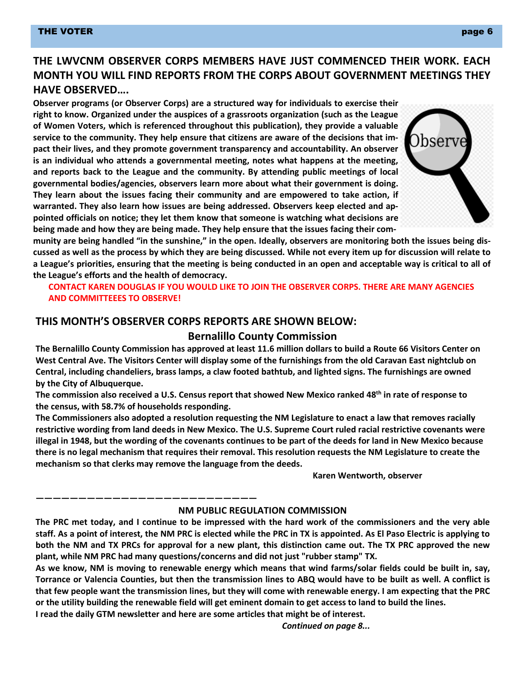# **THE LWVCNM OBSERVER CORPS MEMBERS HAVE JUST COMMENCED THEIR WORK. EACH MONTH YOU WILL FIND REPORTS FROM THE CORPS ABOUT GOVERNMENT MEETINGS THEY HAVE OBSERVED….**

**Observer programs (or Observer Corps) are a structured way for individuals to exercise their right to know. Organized under the auspices of a grassroots organization (such as the League of Women Voters, which is referenced throughout this publication), they provide a valuable service to the community. They help ensure that citizens are aware of the decisions that impact their lives, and they promote government transparency and accountability. An observer is an individual who attends a governmental meeting, notes what happens at the meeting, and reports back to the League and the community. By attending public meetings of local governmental bodies/agencies, observers learn more about what their government is doing. They learn about the issues facing their community and are empowered to take action, if warranted. They also learn how issues are being addressed. Observers keep elected and appointed officials on notice; they let them know that someone is watching what decisions are being made and how they are being made. They help ensure that the issues facing their com-**



**munity are being handled "in the sunshine," in the open. Ideally, observers are monitoring both the issues being discussed as well as the process by which they are being discussed. While not every item up for discussion will relate to a League's priorities, ensuring that the meeting is being conducted in an open and acceptable way is critical to all of the League's efforts and the health of democracy.**

#### **CONTACT KAREN DOUGLAS IF YOU WOULD LIKE TO JOIN THE OBSERVER CORPS. THERE ARE MANY AGENCIES AND COMMITTEEES TO OBSERVE!**

#### **THIS MONTH'S OBSERVER CORPS REPORTS ARE SHOWN BELOW:**

#### **Bernalillo County Commission**

**The Bernalillo County Commission has approved at least 11.6 million dollars to build a Route 66 Visitors Center on West Central Ave. The Visitors Center will display some of the furnishings from the old Caravan East nightclub on Central, including chandeliers, brass lamps, a claw footed bathtub, and lighted signs. The furnishings are owned by the City of Albuquerque.**

**The commission also received a U.S. Census report that showed New Mexico ranked 48th in rate of response to the census, with 58.7% of households responding.**

**The Commissioners also adopted a resolution requesting the NM Legislature to enact a law that removes racially restrictive wording from land deeds in New Mexico. The U.S. Supreme Court ruled racial restrictive covenants were illegal in 1948, but the wording of the covenants continues to be part of the deeds for land in New Mexico because there is no legal mechanism that requires their removal. This resolution requests the NM Legislature to create the mechanism so that clerks may remove the language from the deeds.**

**Karen Wentworth, observer**

#### **NM PUBLIC REGULATION COMMISSION**

**The PRC met today, and I continue to be impressed with the hard work of the commissioners and the very able staff. As a point of interest, the NM PRC is elected while the PRC in TX is appointed. As El Paso Electric is applying to both the NM and TX PRCs for approval for a new plant, this distinction came out. The TX PRC approved the new plant, while NM PRC had many questions/concerns and did not just "rubber stamp" TX.**

**As we know, NM is moving to renewable energy which means that wind farms/solar fields could be built in, say, Torrance or Valencia Counties, but then the transmission lines to ABQ would have to be built as well. A conflict is that few people want the transmission lines, but they will come with renewable energy. I am expecting that the PRC or the utility building the renewable field will get eminent domain to get access to land to build the lines.**

**I read the daily GTM newsletter and here are some articles that might be of interest.**

**——————————————————————————**

*Continued on page 8...*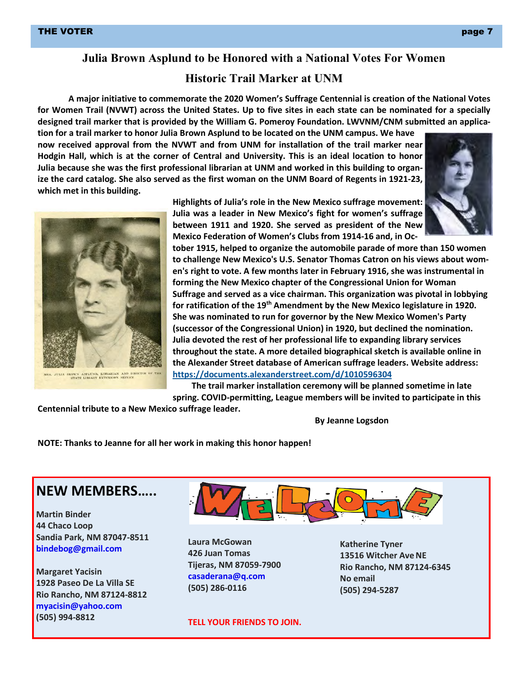### **Julia Brown Asplund to be Honored with a National Votes For Women**

### **Historic Trail Marker at UNM**

**A major initiative to commemorate the 2020 Women's Suffrage Centennial is creation of the National Votes for Women Trail (NVWT) across the United States. Up to five sites in each state can be nominated for a specially designed trail marker that is provided by the William G. Pomeroy Foundation. LWVNM/CNM submitted an applica-**

**tion for a trail marker to honor Julia Brown Asplund to be located on the UNM campus. We have now received approval from the NVWT and from UNM for installation of the trail marker near Hodgin Hall, which is at the corner of Central and University. This is an ideal location to honor Julia because she was the first professional librarian at UNM and worked in this building to organize the card catalog. She also served as the first woman on the UNM Board of Regents in 1921-23, which met in this building.**





**Highlights of Julia's role in the New Mexico suffrage movement: Julia was a leader in New Mexico's fight for women's suffrage between 1911 and 1920. She served as president of the New Mexico Federation of Women's Clubs from 1914-16 and, in Oc-**

**tober 1915, helped to organize the automobile parade of more than 150 women to challenge New Mexico's U.S. Senator Thomas Catron on his views about women's right to vote. A few months later in February 1916, she was instrumental in forming the New Mexico chapter of the Congressional Union for Woman Suffrage and served as a vice chairman. This organization was pivotal in lobbying for ratification of the 19th Amendment by the New Mexico legislature in 1920. She was nominated to run for governor by the New Mexico Women's Party (successor of the Congressional Union) in 1920, but declined the nomination. Julia devoted the rest of her professional life to expanding library services throughout the state. A more detailed biographical sketch is available online in the Alexander Street database of American suffrage leaders. Website address: <https://documents.alexanderstreet.com/d/1010596304>**

**The trail marker installation ceremony will be planned sometime in late spring. COVID-permitting, League members will be invited to participate in this**

**Centennial tribute to a New Mexico suffrage leader.**

**By Jeanne Logsdon**

**NOTE: Thanks to Jeanne for all her work in making this honor happen!**

# **NEW MEMBERS…..**

**Martin Binder 44 Chaco Loop Sandia Park, NM 87047-8511 [bindebog@gmail.com](mailto:bindebog@gmail.com)**

**Margaret Yacisin 1928 Paseo De La Villa SE Rio Rancho, NM 87124-8812 [myacisin@yahoo.com](mailto:myacisin@yahoo.com) (505) 994-8812**



**Laura McGowan 426 Juan Tomas Tijeras, NM 87059-7900 [casaderana@q.com](mailto:casaderana@q.com) (505) 286-0116**

**TELL YOUR FRIENDS TO JOIN.**

**Katherine Tyner 13516 Witcher Ave NE Rio Rancho, NM 87124-6345 No email (505) 294-5287**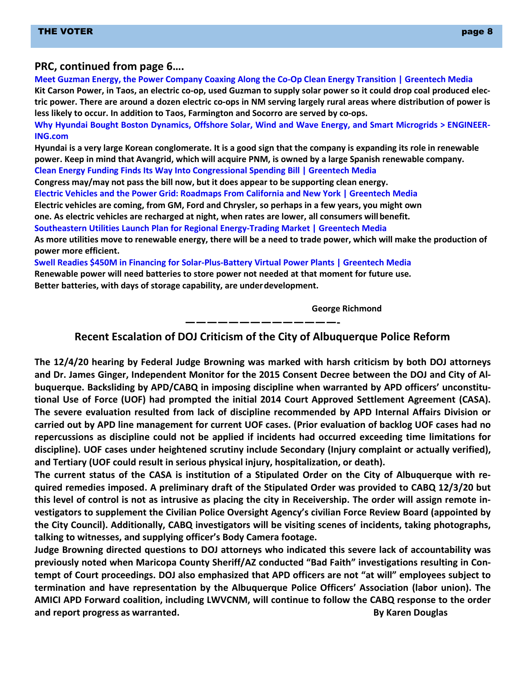#### **PRC, continued from page 6….**

**Meet Guzman Energy, the Power Company Coaxing Along the Co-Op Clean Energy Transition | Greentech Media Kit Carson Power, in Taos, an electric co-op, used Guzman to supply solar power so it could drop coal produced electric power. There are around a dozen electric co-ops in NM serving largely rural areas where distribution of power is less likely to occur. In addition to Taos, Farmington and Socorro are served by co-ops. Why Hyundai Bought Boston Dynamics, Offshore Solar, Wind and Wave Energy, and Smart Microgrids > ENGINEER-ING.com Hyundai is a very large Korean conglomerate. It is a good sign that the company is expanding its role in renewable power. Keep in mind that Avangrid, which will acquire PNM, is owned by a large Spanish renewable company. Clean Energy Funding Finds Its Way Into Congressional Spending Bill | Greentech Media Congress may/may not pass the bill now, but it does appear to be supporting clean energy.**

**Electric Vehicles and the Power Grid: Roadmaps From California and New York | Greentech Media** 

**Electric vehicles are coming, from GM, Ford and Chrysler, so perhaps in a few years, you might own** 

**one. As electric vehicles are recharged at night, when rates are lower, all consumers willbenefit.**

**Southeastern Utilities Launch Plan for Regional Energy-Trading Market | Greentech Media**

**As more utilities move to renewable energy, there will be a need to trade power, which will make the production of power more efficient.**

**Swell Readies \$450M in Financing for Solar-Plus-Battery Virtual Power Plants | Greentech Media** 

**Renewable power will need batteries to store power not needed at that moment for future use.** 

**Better batteries, with days of storage capability, are underdevelopment.**

**George Richmond**

**——————————————- Recent Escalation of DOJ Criticism of the City of Albuquerque Police Reform**

**The 12/4/20 hearing by Federal Judge Browning was marked with harsh criticism by both DOJ attorneys and Dr. James Ginger, Independent Monitor for the 2015 Consent Decree between the DOJ and City of Albuquerque. Backsliding by APD/CABQ in imposing discipline when warranted by APD officers' unconstitutional Use of Force (UOF) had prompted the initial 2014 Court Approved Settlement Agreement (CASA). The severe evaluation resulted from lack of discipline recommended by APD Internal Affairs Division or carried out by APD line management for current UOF cases. (Prior evaluation of backlog UOF cases had no repercussions as discipline could not be applied if incidents had occurred exceeding time limitations for discipline). UOF cases under heightened scrutiny include Secondary (Injury complaint or actually verified), and Tertiary (UOF could result in serious physical injury, hospitalization, or death).**

**The current status of the CASA is institution of a Stipulated Order on the City of Albuquerque with required remedies imposed. A preliminary draft of the Stipulated Order was provided to CABQ 12/3/20 but this level of control is not as intrusive as placing the city in Receivership. The order will assign remote investigators to supplement the Civilian Police Oversight Agency's civilian Force Review Board (appointed by the City Council). Additionally, CABQ investigators will be visiting scenes of incidents, taking photographs, talking to witnesses, and supplying officer's Body Camera footage.**

**Judge Browning directed questions to DOJ attorneys who indicated this severe lack of accountability was previously noted when Maricopa County Sheriff/AZ conducted "Bad Faith" investigations resulting in Contempt of Court proceedings. DOJ also emphasized that APD officers are not "at will" employees subject to termination and have representation by the Albuquerque Police Officers' Association (labor union). The AMICI APD Forward coalition, including LWVCNM, will continue to follow the CABQ response to the order and report progress as warranted. By Karen Douglas**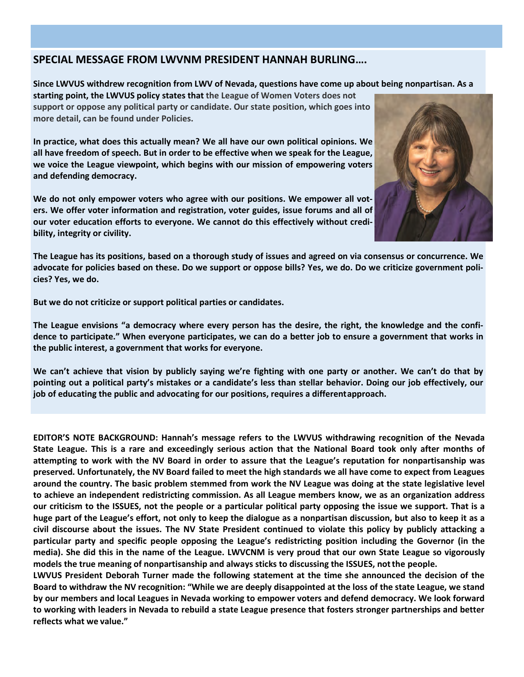#### **SPECIAL MESSAGE FROM LWVNM PRESIDENT HANNAH BURLING….**

**Since LWVUS withdrew recognition from LWV of Nevada, questions have come up about being nonpartisan. As a** 

**starting point, the LWVUS policy states that the League of Women Voters does not support or oppose any political party or candidate. Our state position, which goes into more detail, can be found under Policies.**

**In practice, what does this actually mean? We all have our own political opinions. We all have freedom of speech. But in order to be effective when we speak for the League, we voice the League viewpoint, which begins with our mission of empowering voters and defending democracy.**

**We do not only empower voters who agree with our positions. We empower all voters. We offer voter information and registration, voter guides, issue forums and all of our voter education efforts to everyone. We cannot do this effectively without credibility, integrity or civility.**



**The League has its positions, based on a thorough study of issues and agreed on via consensus or concurrence. We advocate for policies based on these. Do we support or oppose bills? Yes, we do. Do we criticize government policies? Yes, we do.**

**But we do not criticize or support political parties or candidates.**

**The League envisions "a democracy where every person has the desire, the right, the knowledge and the confidence to participate." When everyone participates, we can do a better job to ensure a government that works in the public interest, a government that works for everyone.**

**We can't achieve that vision by publicly saying we're fighting with one party or another. We can't do that by pointing out a political party's mistakes or a candidate's less than stellar behavior. Doing our job effectively, our job of educating the public and advocating for our positions, requires a differentapproach.**

**EDITOR'S NOTE BACKGROUND: Hannah's message refers to the LWVUS withdrawing recognition of the Nevada State League. This is a rare and exceedingly serious action that the National Board took only after months of attempting to work with the NV Board in order to assure that the League's reputation for nonpartisanship was preserved. Unfortunately, the NV Board failed to meet the high standards we all have come to expect from Leagues around the country. The basic problem stemmed from work the NV League was doing at the state legislative level to achieve an independent redistricting commission. As all League members know, we as an organization address our criticism to the ISSUES, not the people or a particular political party opposing the issue we support. That is a**  huge part of the League's effort, not only to keep the dialogue as a nonpartisan discussion, but also to keep it as a **civil discourse about the issues. The NV State President continued to violate this policy by publicly attacking a particular party and specific people opposing the League's redistricting position including the Governor (in the media). She did this in the name of the League. LWVCNM is very proud that our own State League so vigorously models the true meaning of nonpartisanship and always sticks to discussing the ISSUES, notthe people.**

**LWVUS President Deborah Turner made the following statement at the time she announced the decision of the Board to withdraw the NV recognition: "While we are deeply disappointed at the loss of the state League, we stand by our members and local Leagues in Nevada working to empower voters and defend democracy. We look forward to working with leaders in Nevada to rebuild a state League presence that fosters stronger partnerships and better reflects what we value."**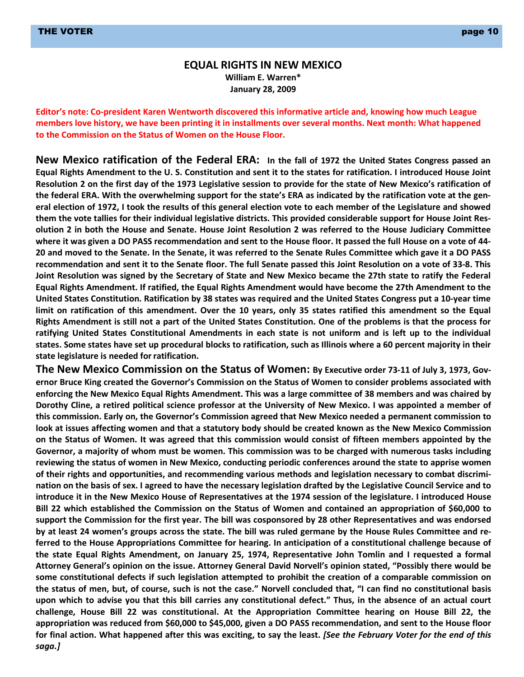#### **EQUAL RIGHTS IN NEW MEXICO William E. Warren\* January 28, 2009**

**Editor's note: Co-president Karen Wentworth discovered this informative article and, knowing how much League members love history, we have been printing it in installments over several months. Next month: What happened to the Commission on the Status of Women on the House Floor.**

**New Mexico ratification of the Federal ERA: In the fall of 1972 the United States Congress passed an Equal Rights Amendment to the U. S. Constitution and sent it to the states for ratification. I introduced House Joint Resolution 2 on the first day of the 1973 Legislative session to provide for the state of New Mexico's ratification of the federal ERA. With the overwhelming support for the state's ERA as indicated by the ratification vote at the general election of 1972, I took the results of this general election vote to each member of the Legislature and showed them the vote tallies for their individual legislative districts. This provided considerable support for House Joint Resolution 2 in both the House and Senate. House Joint Resolution 2 was referred to the House Judiciary Committee where it was given a DO PASS recommendation and sent to the House floor. It passed the full House on a vote of 44- 20 and moved to the Senate. In the Senate, it was referred to the Senate Rules Committee which gave it a DO PASS recommendation and sent it to the Senate floor. The full Senate passed this Joint Resolution on a vote of 33-8. This Joint Resolution was signed by the Secretary of State and New Mexico became the 27th state to ratify the Federal Equal Rights Amendment. If ratified, the Equal Rights Amendment would have become the 27th Amendment to the United States Constitution. Ratification by 38 states was required and the United States Congress put a 10-year time limit on ratification of this amendment. Over the 10 years, only 35 states ratified this amendment so the Equal Rights Amendment is still not a part of the United States Constitution. One of the problems is that the process for ratifying United States Constitutional Amendments in each state is not uniform and is left up to the individual states. Some states have set up procedural blocks to ratification, such as Illinois where a 60 percent majority in their state legislature is needed for ratification.**

**The New Mexico Commission on the Status of Women: By Executive order 73-11 of July 3, 1973, Governor Bruce King created the Governor's Commission on the Status of Women to consider problems associated with enforcing the New Mexico Equal Rights Amendment. This was a large committee of 38 members and was chaired by Dorothy Cline, a retired political science professor at the University of New Mexico. I was appointed a member of this commission. Early on, the Governor's Commission agreed that New Mexico needed a permanent commission to look at issues affecting women and that a statutory body should be created known as the New Mexico Commission on the Status of Women. It was agreed that this commission would consist of fifteen members appointed by the Governor, a majority of whom must be women. This commission was to be charged with numerous tasks including reviewing the status of women in New Mexico, conducting periodic conferences around the state to apprise women of their rights and opportunities, and recommending various methods and legislation necessary to combat discrimination on the basis of sex. I agreed to have the necessary legislation drafted by the Legislative Council Service and to introduce it in the New Mexico House of Representatives at the 1974 session of the legislature. I introduced House Bill 22 which established the Commission on the Status of Women and contained an appropriation of \$60,000 to support the Commission for the first year. The bill was cosponsored by 28 other Representatives and was endorsed by at least 24 women's groups across the state. The bill was ruled germane by the House Rules Committee and referred to the House Appropriations Committee for hearing. In anticipation of a constitutional challenge because of the state Equal Rights Amendment, on January 25, 1974, Representative John Tomlin and I requested a formal Attorney General's opinion on the issue. Attorney General David Norvell's opinion stated, "Possibly there would be some constitutional defects if such legislation attempted to prohibit the creation of a comparable commission on the status of men, but, of course, such is not the case." Norvell concluded that, "I can find no constitutional basis upon which to advise you that this bill carries any constitutional defect." Thus, in the absence of an actual court challenge, House Bill 22 was constitutional. At the Appropriation Committee hearing on House Bill 22, the appropriation was reduced from \$60,000 to \$45,000, given a DO PASS recommendation, and sent to the House floor for final action. What happened after this was exciting, to say the least.** *[See the February Voter for the end of this saga.]*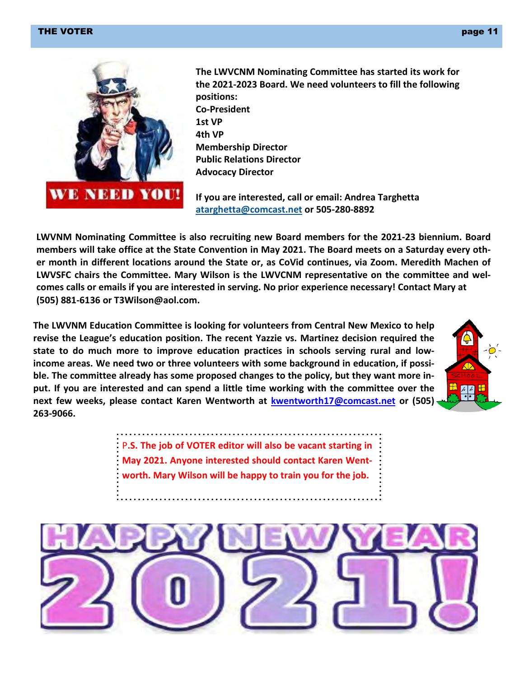#### THE VOTER  $\qquad$  , we have the contract of the contract of the contract of the contract of the contract of the contract of the contract of the contract of the contract of the contract of the contract of the contract of the



**The LWVCNM Nominating Committee has started its work for the 2021-2023 Board. We need volunteers to fill the following positions: Co-President 1st VP 4th VP Membership Director Public Relations Director Advocacy Director**

**If you are interested, call or email: Andrea Targhetta [atarghetta@comcast.net](mailto:atarghetta@comcast.net) or 505-280-8892**

**LWVNM Nominating Committee is also recruiting new Board members for the 2021-23 biennium. Board members will take office at the State Convention in May 2021. The Board meets on a Saturday every other month in different locations around the State or, as CoVid continues, via Zoom. Meredith Machen of LWVSFC chairs the Committee. Mary Wilson is the LWVCNM representative on the committee and welcomes calls or emails if you are interested in serving. No prior experience necessary! Contact Mary at (505) 881-6136 or [T3Wilson@aol.com.](mailto:T3Wilson@aol.com.)**

**The LWVNM Education Committee is looking for volunteers from Central New Mexico to help revise the League's education position. The recent Yazzie vs. Martinez decision required the state to do much more to improve education practices in schools serving rural and lowincome areas. We need two or three volunteers with some background in education, if possible. The committee already has some proposed changes to the policy, but they want more input. If you are interested and can spend a little time working with the committee over the next few weeks, please contact Karen Wentworth at [kwentworth17@comcast.net](mailto:kwentworth17@comcast.net) or (505) 263-9066.**



P**.S. The job of VOTER editor will also be vacant starting in May 2021. Anyone interested should contact Karen Wentworth. Mary Wilson will be happy to train you for the job.**